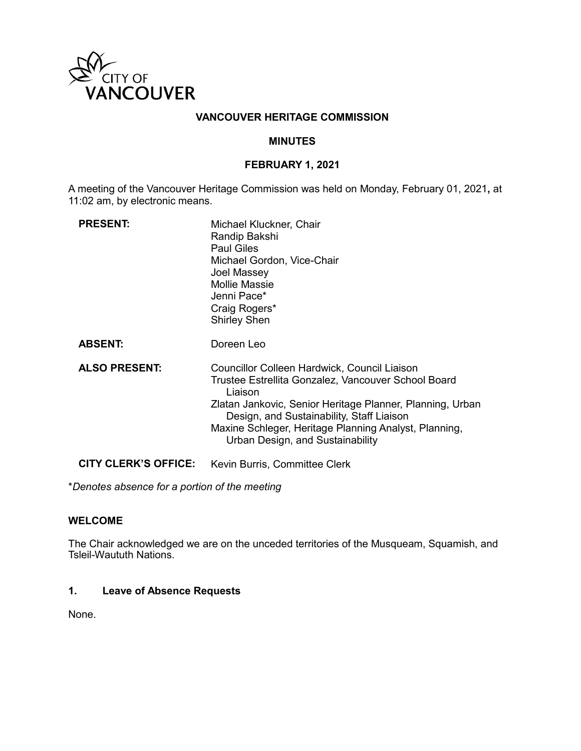

# **VANCOUVER HERITAGE COMMISSION**

# **MINUTES**

## **FEBRUARY 1, 2021**

A meeting of the Vancouver Heritage Commission was held on Monday, February 01, 2021**,** at 11:02 am, by electronic means.

| <b>PRESENT:</b>      | Michael Kluckner, Chair<br>Randip Bakshi<br><b>Paul Giles</b><br>Michael Gordon, Vice-Chair<br>Joel Massey<br><b>Mollie Massie</b><br>Jenni Pace*<br>Craig Rogers*<br><b>Shirley Shen</b>                                                                                                                                    |
|----------------------|------------------------------------------------------------------------------------------------------------------------------------------------------------------------------------------------------------------------------------------------------------------------------------------------------------------------------|
| <b>ABSENT:</b>       | Doreen Leo                                                                                                                                                                                                                                                                                                                   |
| <b>ALSO PRESENT:</b> | <b>Councillor Colleen Hardwick, Council Liaison</b><br>Trustee Estrellita Gonzalez, Vancouver School Board<br>Liaison<br>Zlatan Jankovic, Senior Heritage Planner, Planning, Urban<br>Design, and Sustainability, Staff Liaison<br>Maxine Schleger, Heritage Planning Analyst, Planning,<br>Urban Design, and Sustainability |
| CITY CLERK'S OFFICE: | Kevin Burris, Committee Clerk                                                                                                                                                                                                                                                                                                |

\**Denotes absence for a portion of the meeting*

# **WELCOME**

The Chair acknowledged we are on the unceded territories of the Musqueam, Squamish, and Tsleil-Waututh Nations.

# **1. Leave of Absence Requests**

None.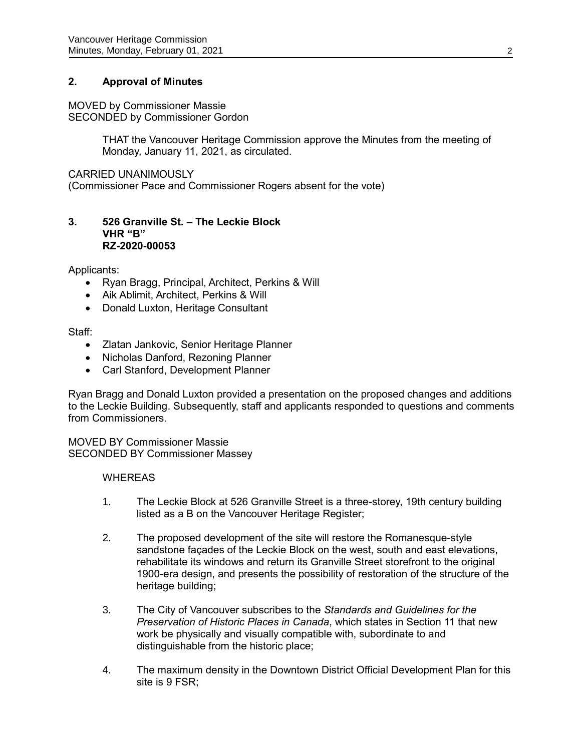# **2. Approval of Minutes**

# MOVED by Commissioner Massie

SECONDED by Commissioner Gordon

THAT the Vancouver Heritage Commission approve the Minutes from the meeting of Monday, January 11, 2021, as circulated.

#### CARRIED UNANIMOUSLY

(Commissioner Pace and Commissioner Rogers absent for the vote)

#### **3. 526 Granville St. – The Leckie Block VHR "B" RZ-2020-00053**

Applicants:

- Ryan Bragg, Principal, Architect, Perkins & Will
- Aik Ablimit, Architect, Perkins & Will
- Donald Luxton, Heritage Consultant

#### Staff:

- Zlatan Jankovic, Senior Heritage Planner
- Nicholas Danford, Rezoning Planner
- Carl Stanford, Development Planner

Ryan Bragg and Donald Luxton provided a presentation on the proposed changes and additions to the Leckie Building. Subsequently, staff and applicants responded to questions and comments from Commissioners.

MOVED BY Commissioner Massie SECONDED BY Commissioner Massey

#### WHEREAS

- 1. The Leckie Block at 526 Granville Street is a three-storey, 19th century building listed as a B on the Vancouver Heritage Register;
- 2. The proposed development of the site will restore the Romanesque-style sandstone façades of the Leckie Block on the west, south and east elevations, rehabilitate its windows and return its Granville Street storefront to the original 1900-era design, and presents the possibility of restoration of the structure of the heritage building;
- 3. The City of Vancouver subscribes to the *Standards and Guidelines for the Preservation of Historic Places in Canada*, which states in Section 11 that new work be physically and visually compatible with, subordinate to and distinguishable from the historic place;
- 4. The maximum density in the Downtown District Official Development Plan for this site is 9 FSR;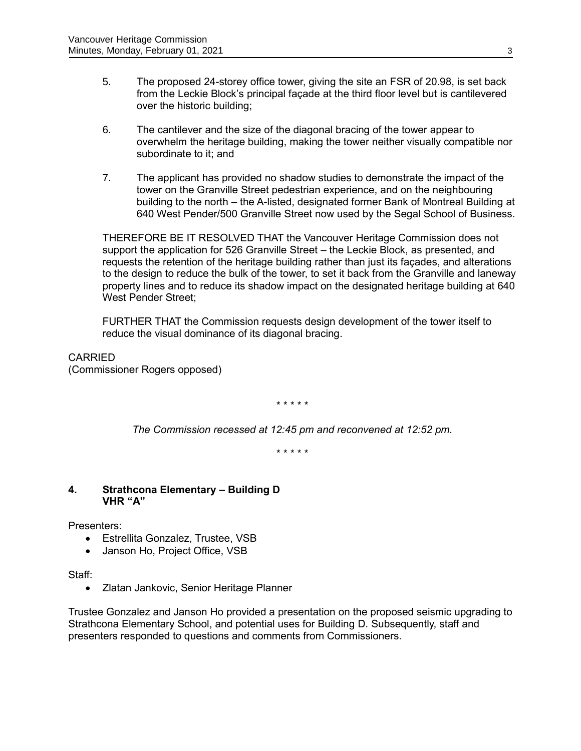- 5. The proposed 24-storey office tower, giving the site an FSR of 20.98, is set back from the Leckie Block's principal façade at the third floor level but is cantilevered over the historic building;
- 6. The cantilever and the size of the diagonal bracing of the tower appear to overwhelm the heritage building, making the tower neither visually compatible nor subordinate to it; and
- 7. The applicant has provided no shadow studies to demonstrate the impact of the tower on the Granville Street pedestrian experience, and on the neighbouring building to the north – the A-listed, designated former Bank of Montreal Building at 640 West Pender/500 Granville Street now used by the Segal School of Business.

THEREFORE BE IT RESOLVED THAT the Vancouver Heritage Commission does not support the application for 526 Granville Street – the Leckie Block, as presented, and requests the retention of the heritage building rather than just its façades, and alterations to the design to reduce the bulk of the tower, to set it back from the Granville and laneway property lines and to reduce its shadow impact on the designated heritage building at 640 West Pender Street;

FURTHER THAT the Commission requests design development of the tower itself to reduce the visual dominance of its diagonal bracing.

CARRIED (Commissioner Rogers opposed)

\* \* \* \* \*

*The Commission recessed at 12:45 pm and reconvened at 12:52 pm.*

\* \* \* \* \*

# **4. Strathcona Elementary – Building D VHR "A"**

Presenters:

- Estrellita Gonzalez, Trustee, VSB
- Janson Ho, Project Office, VSB

Staff:

Zlatan Jankovic, Senior Heritage Planner

Trustee Gonzalez and Janson Ho provided a presentation on the proposed seismic upgrading to Strathcona Elementary School, and potential uses for Building D. Subsequently, staff and presenters responded to questions and comments from Commissioners.